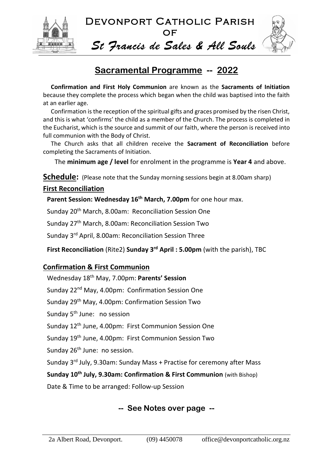

Devonport Catholic Parish **OF** *St Francis de Sales & All Souls*

# **Sacramental Programme -- 2022**

**Confirmation and First Holy Communion** are known as the **Sacraments of Initiation** because they complete the process which began when the child was baptised into the faith at an earlier age.

Confirmation is the reception of the spiritual gifts and graces promised by the risen Christ, and this is what 'confirms' the child as a member of the Church. The process is completed in the Eucharist, which is the source and summit of our faith, where the person is received into full communion with the Body of Christ.

The Church asks that all children receive the **Sacrament of Reconciliation** before completing the Sacraments of Initiation.

The **minimum age / level** for enrolment in the programme is **Year 4** and above.

**Schedule:** (Please note that the Sunday morning sessions begin at 8.00am sharp)

### **First Reconciliation**

**Parent Session: Wednesday 16th March, 7.00pm** for one hour max.

Sunday 20<sup>th</sup> March, 8.00am: Reconciliation Session One

Sunday 27th March, 8.00am: Reconciliation Session Two

Sunday 3<sup>rd</sup> April, 8.00am: Reconciliation Session Three

**First Reconciliation** (Rite2) **Sunday 3 rd April : 5.00pm** (with the parish), TBC

### **Confirmation & First Communion**

Wednesday 18th May, 7.00pm: **Parents' Session** Sunday 22<sup>nd</sup> May, 4.00pm: Confirmation Session One Sunday 29th May, 4.00pm: Confirmation Session Two Sunday 5<sup>th</sup> June: no session Sunday 12<sup>th</sup> June, 4.00pm: First Communion Session One Sunday 19th June, 4.00pm: First Communion Session Two Sunday 26<sup>th</sup> June: no session. Sunday 3<sup>rd</sup> July, 9.30am: Sunday Mass + Practise for ceremony after Mass **Sunday 10th July, 9.30am: Confirmation & First Communion** (with Bishop) Date & Time to be arranged: Follow-up Session

## **-- See Notes over page --**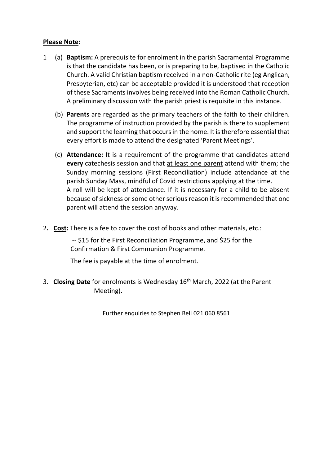#### **Please Note:**

- 1 (a) **Baptism:** A prerequisite for enrolment in the parish Sacramental Programme is that the candidate has been, or is preparing to be, baptised in the Catholic Church. A valid Christian baptism received in a non-Catholic rite (eg Anglican, Presbyterian, etc) can be acceptable provided it is understood that reception of these Sacraments involves being received into the Roman Catholic Church. A preliminary discussion with the parish priest is requisite in this instance.
	- (b) **Parents** are regarded as the primary teachers of the faith to their children. The programme of instruction provided by the parish is there to supplement and support the learning that occurs in the home. It is therefore essential that every effort is made to attend the designated 'Parent Meetings'.
	- (c) **Attendance:** It is a requirement of the programme that candidates attend **every** catechesis session and that at least one parent attend with them; the Sunday morning sessions (First Reconciliation) include attendance at the parish Sunday Mass, mindful of Covid restrictions applying at the time. A roll will be kept of attendance. If it is necessary for a child to be absent because of sickness or some other serious reason it is recommended that one parent will attend the session anyway.
- 2**. Cost:** There is a fee to cover the cost of books and other materials, etc.:

-- \$15 for the First Reconciliation Programme, and \$25 for the Confirmation & First Communion Programme.

The fee is payable at the time of enrolment.

3. Closing Date for enrolments is Wednesday 16<sup>th</sup> March, 2022 (at the Parent Meeting).

Further enquiries to Stephen Bell 021 060 8561